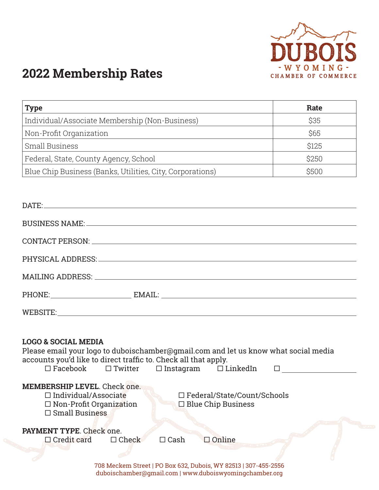

## **2022 Membership Rates**

| <b>Type</b>                                               | Rate  |
|-----------------------------------------------------------|-------|
| Individual/Associate Membership (Non-Business)            | \$35  |
| Non-Profit Organization                                   | \$65  |
| Small Business                                            | \$125 |
| Federal, State, County Agency, School                     | \$250 |
| Blue Chip Business (Banks, Utilities, City, Corporations) | \$500 |

| DATE: Note that the contract of the contract of the contract of the contract of the contract of the contract of the contract of the contract of the contract of the contract of the contract of the contract of the contract o                                          |  |
|-------------------------------------------------------------------------------------------------------------------------------------------------------------------------------------------------------------------------------------------------------------------------|--|
|                                                                                                                                                                                                                                                                         |  |
|                                                                                                                                                                                                                                                                         |  |
|                                                                                                                                                                                                                                                                         |  |
|                                                                                                                                                                                                                                                                         |  |
|                                                                                                                                                                                                                                                                         |  |
|                                                                                                                                                                                                                                                                         |  |
| <b>LOGO &amp; SOCIAL MEDIA</b><br>Please email your logo to duboischamber@gmail.com and let us know what social media<br>accounts you'd like to direct traffic to. Check all that apply.<br>$\square$ Facebook $\square$ Twitter $\square$ Instagram $\square$ LinkedIn |  |
| <b>MEMBERSHIP LEVEL</b> , Check one.<br>$\Box$ Individual/Associate<br>□ Federal/State/Count/Schools<br>$\Box$ Non-Profit Organization<br>$\Box$ Blue Chip Business<br>$\Box$ Small Business                                                                            |  |
| PAYMENT TYPE. Check one.<br>$\Box$ Credit card<br>$\Box$ Check<br>$\Box$ Cash<br>$\Box$ Online                                                                                                                                                                          |  |

708 Meckem Street | PO Box 632, Dubois, WY 82513 | 307-455-2556 duboischamber@gmail.com |<www.duboiswyomingchamber.org>